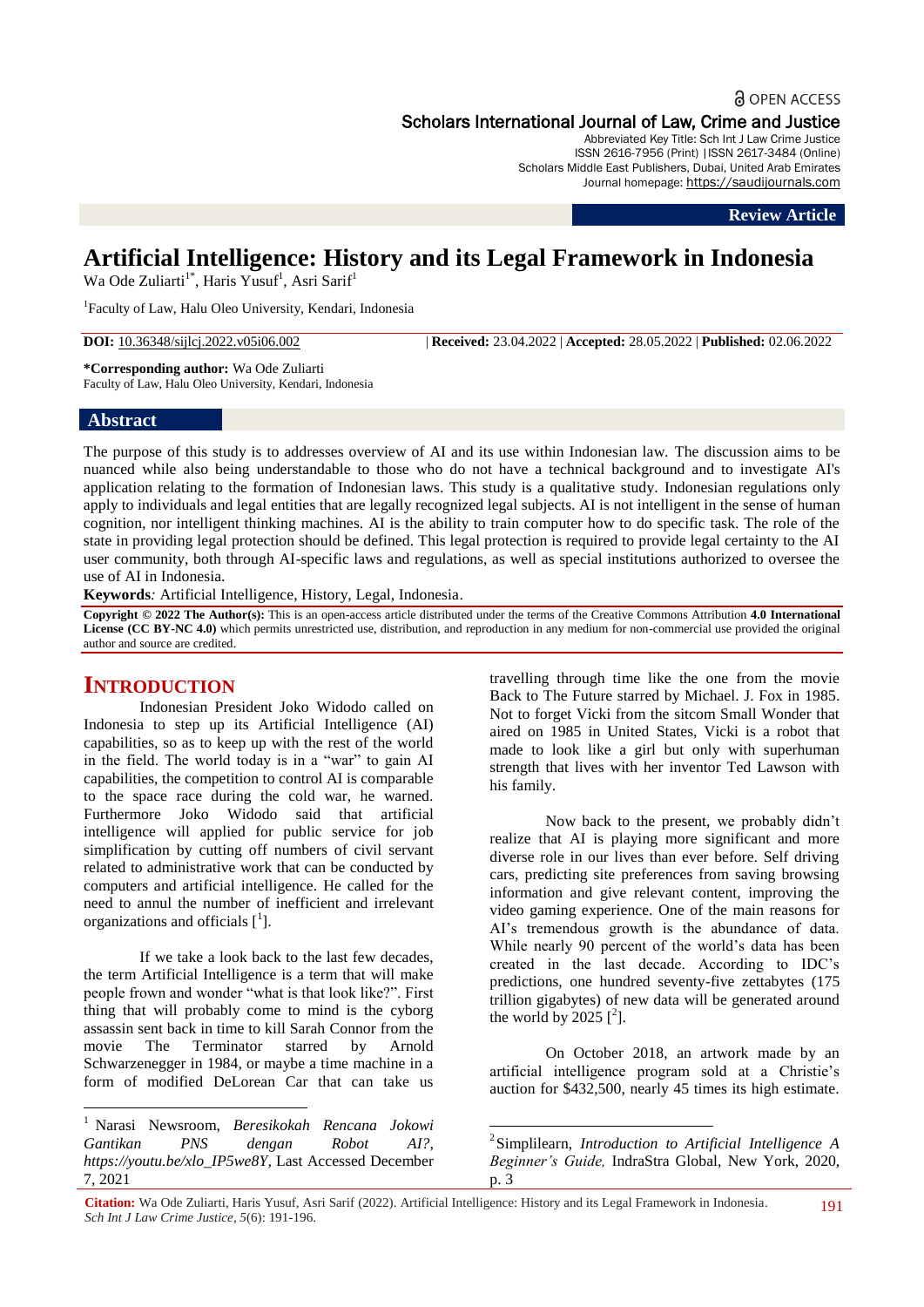# **a** OPEN ACCESS

Scholars International Journal of Law, Crime and Justice

Abbreviated Key Title: Sch Int J Law Crime Justice ISSN 2616-7956 (Print) |ISSN 2617-3484 (Online) Scholars Middle East Publishers, Dubai, United Arab Emirates Journal homepage: https://saudijournals.com

**Review Article**

# **Artificial Intelligence: History and its Legal Framework in Indonesia**

Wa Ode Zuliarti<sup>1\*</sup>, Haris Yusuf<sup>1</sup>, Asri Sarif<sup>1</sup>

<sup>1</sup>Faculty of Law, Halu Oleo University, Kendari, Indonesia

**DOI:** 10.36348/sijlcj.2022.v05i06.002 | **Received:** 23.04.2022 | **Accepted:** 28.05.2022 | **Published:** 02.06.2022

**\*Corresponding author:** Wa Ode Zuliarti Faculty of Law, Halu Oleo University, Kendari, Indonesia

### **Abstract**

The purpose of this study is to addresses overview of AI and its use within Indonesian law. The discussion aims to be nuanced while also being understandable to those who do not have a technical background and to investigate AI's application relating to the formation of Indonesian laws. This study is a qualitative study. Indonesian regulations only apply to individuals and legal entities that are legally recognized legal subjects. AI is not intelligent in the sense of human cognition, nor intelligent thinking machines. AI is the ability to train computer how to do specific task. The role of the state in providing legal protection should be defined. This legal protection is required to provide legal certainty to the AI user community, both through AI-specific laws and regulations, as well as special institutions authorized to oversee the use of AI in Indonesia.

**Keywords***:* Artificial Intelligence, History, Legal, Indonesia.

**Copyright © 2022 The Author(s):** This is an open-access article distributed under the terms of the Creative Commons Attribution **4.0 International**  License (CC BY-NC 4.0) which permits unrestricted use, distribution, and reproduction in any medium for non-commercial use provided the original author and source are credited.

# **INTRODUCTION**

**.** 

Indonesian President Joko Widodo called on Indonesia to step up its Artificial Intelligence (AI) capabilities, so as to keep up with the rest of the world in the field. The world today is in a "war" to gain AI capabilities, the competition to control AI is comparable to the space race during the cold war, he warned. Furthermore Joko Widodo said that artificial intelligence will applied for public service for job simplification by cutting off numbers of civil servant related to administrative work that can be conducted by computers and artificial intelligence. He called for the need to annul the number of inefficient and irrelevant organizations and officials  $[{}^{1}$ ].

If we take a look back to the last few decades, the term Artificial Intelligence is a term that will make people frown and wonder "what is that look like?". First thing that will probably come to mind is the cyborg assassin sent back in time to kill Sarah Connor from the movie The Terminator starred by Arnold Schwarzenegger in 1984, or maybe a time machine in a form of modified DeLorean Car that can take us

<sup>1</sup> Narasi Newsroom, *Beresikokah Rencana Jokowi Gantikan PNS dengan Robot AI?, [https://youtu.be/xlo\\_IP5we8Y,](https://youtu.be/xlo_IP5we8Y)* Last Accessed December 7, 2021

travelling through time like the one from the movie Back to The Future starred by Michael. J. Fox in 1985. Not to forget Vicki from the sitcom Small Wonder that aired on 1985 in United States, Vicki is a robot that made to look like a girl but only with superhuman strength that lives with her inventor Ted Lawson with his family.

Now back to the present, we probably didn't realize that AI is playing more significant and more diverse role in our lives than ever before. Self driving cars, predicting site preferences from saving browsing information and give relevant content, improving the video gaming experience. One of the main reasons for AI's tremendous growth is the abundance of data. While nearly 90 percent of the world's data has been created in the last decade. According to IDC's predictions, one hundred seventy-five zettabytes (175 trillion gigabytes) of new data will be generated around the world by 2025  $[^2]$ .

On October 2018, an artwork made by an artificial intelligence program sold at a Christie's auction for \$432,500, nearly 45 times its high estimate.

1

<sup>2</sup> Simplilearn, *Introduction to Artificial Intelligence A Beginner's Guide,* IndraStra Global, New York, 2020, p. 3

**Citation:** Wa Ode Zuliarti, Haris Yusuf, Asri Sarif (2022). Artificial Intelligence: History and its Legal Framework in Indonesia. *Sch Int J Law Crime Justice, 5*(6): 191-196.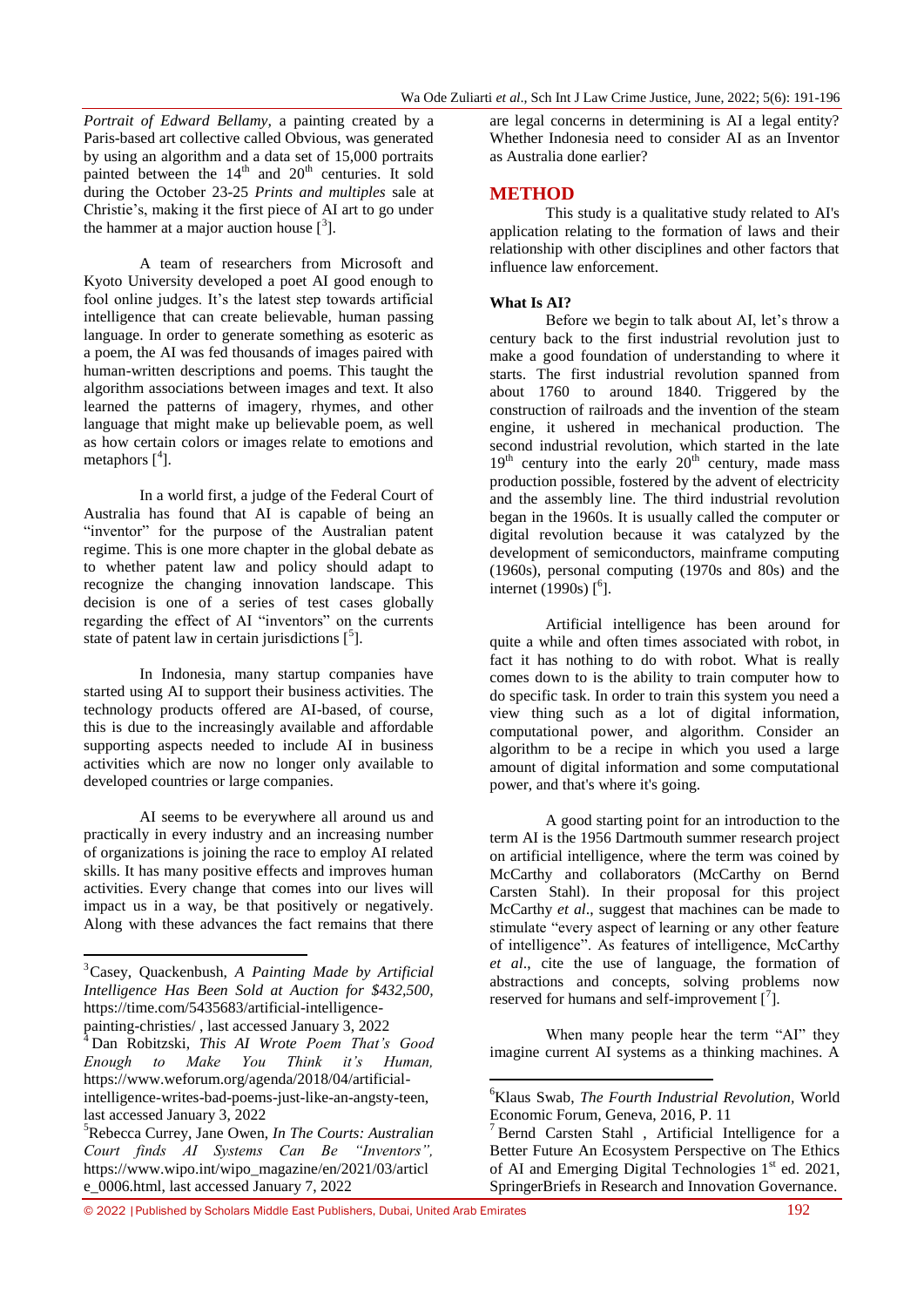*Portrait of Edward Bellamy,* a painting created by a Paris-based art collective called Obvious, was generated by using an algorithm and a data set of 15,000 portraits painted between the  $14<sup>th</sup>$  and  $20<sup>th</sup>$  centuries. It sold during the October 23-25 *Prints and multiples* sale at Christie's, making it the first piece of AI art to go under the hammer at a major auction house  $[3]$ .

A team of researchers from Microsoft and Kyoto University developed a poet AI good enough to fool online judges. It's the latest step towards artificial intelligence that can create believable, human passing language. In order to generate something as esoteric as a poem, the AI was fed thousands of images paired with human-written descriptions and poems. This taught the algorithm associations between images and text. It also learned the patterns of imagery, rhymes, and other language that might make up believable poem, as well as how certain colors or images relate to emotions and metaphors  $[$ <sup>4</sup>].

In a world first, a judge of the Federal Court of Australia has found that AI is capable of being an "inventor" for the purpose of the Australian patent regime. This is one more chapter in the global debate as to whether patent law and policy should adapt to recognize the changing innovation landscape. This decision is one of a series of test cases globally regarding the effect of AI "inventors" on the currents state of patent law in certain jurisdictions  $[^{5}].$ 

In Indonesia, many startup companies have started using AI to support their business activities. The technology products offered are AI-based, of course, this is due to the increasingly available and affordable supporting aspects needed to include AI in business activities which are now no longer only available to developed countries or large companies.

AI seems to be everywhere all around us and practically in every industry and an increasing number of organizations is joining the race to employ AI related skills. It has many positive effects and improves human activities. Every change that comes into our lives will impact us in a way, be that positively or negatively. Along with these advances the fact remains that there

**.** 

are legal concerns in determining is AI a legal entity? Whether Indonesia need to consider AI as an Inventor as Australia done earlier?

## **METHOD**

This study is a qualitative study related to AI's application relating to the formation of laws and their relationship with other disciplines and other factors that influence law enforcement.

## **What Is AI?**

Before we begin to talk about AI, let's throw a century back to the first industrial revolution just to make a good foundation of understanding to where it starts. The first industrial revolution spanned from about 1760 to around 1840. Triggered by the construction of railroads and the invention of the steam engine, it ushered in mechanical production. The second industrial revolution, which started in the late  $19<sup>th</sup>$  century into the early  $20<sup>th</sup>$  century, made mass production possible, fostered by the advent of electricity and the assembly line. The third industrial revolution began in the 1960s. It is usually called the computer or digital revolution because it was catalyzed by the development of semiconductors, mainframe computing (1960s), personal computing (1970s and 80s) and the internet (1990s)  $[6]$ .

Artificial intelligence has been around for quite a while and often times associated with robot, in fact it has nothing to do with robot. What is really comes down to is the ability to train computer how to do specific task. In order to train this system you need a view thing such as a lot of digital information, computational power, and algorithm. Consider an algorithm to be a recipe in which you used a large amount of digital information and some computational power, and that's where it's going.

A good starting point for an introduction to the term AI is the 1956 Dartmouth summer research project on artificial intelligence, where the term was coined by McCarthy and collaborators (McCarthy on Bernd Carsten Stahl). In their proposal for this project McCarthy *et al*., suggest that machines can be made to stimulate "every aspect of learning or any other feature of intelligence". As features of intelligence, McCarthy *et al*., cite the use of language, the formation of abstractions and concepts, solving problems now reserved for humans and self-improvement  $\begin{bmatrix} 7 \end{bmatrix}$ .

When many people hear the term "AI" they imagine current AI systems as a thinking machines. A

 $\overline{a}$ 

<sup>3</sup>Casey, Quackenbush, *A Painting Made by Artificial Intelligence Has Been Sold at Auction for \$432,500,* https://time.com/5435683/artificial-intelligence-

painting-christies/ , last accessed January 3, 2022

<sup>4</sup> Dan Robitzski, *This AI Wrote Poem That's Good Enough to Make You Think it's Human,*  [https://www.weforum.org/agenda/2018/04/artificial](https://www.weforum.org/agenda/2018/04/artificial-intelligence-writes-bad-poems-just-like-an-angsty-teen)[intelligence-writes-bad-poems-just-like-an-angsty-teen,](https://www.weforum.org/agenda/2018/04/artificial-intelligence-writes-bad-poems-just-like-an-angsty-teen) last accessed January 3, 2022

<sup>5</sup>Rebecca Currey, Jane Owen, *In The Courts: Australian Court finds AI Systems Can Be "Inventors",*  [https://www.wipo.int/wipo\\_magazine/en/2021/03/articl](https://www.wipo.int/wipo_magazine/en/2021/03/article_0006.html) [e\\_0006.html,](https://www.wipo.int/wipo_magazine/en/2021/03/article_0006.html) last accessed January 7, 2022

<sup>6</sup>Klaus Swab, *The Fourth Industrial Revolution,* World Economic Forum, Geneva, 2016, P. 11

<sup>7</sup> Bernd Carsten Stahl , Artificial Intelligence for a Better Future An Ecosystem Perspective on The Ethics of AI and Emerging Digital Technologies 1<sup>st</sup> ed. 2021, SpringerBriefs in Research and Innovation Governance.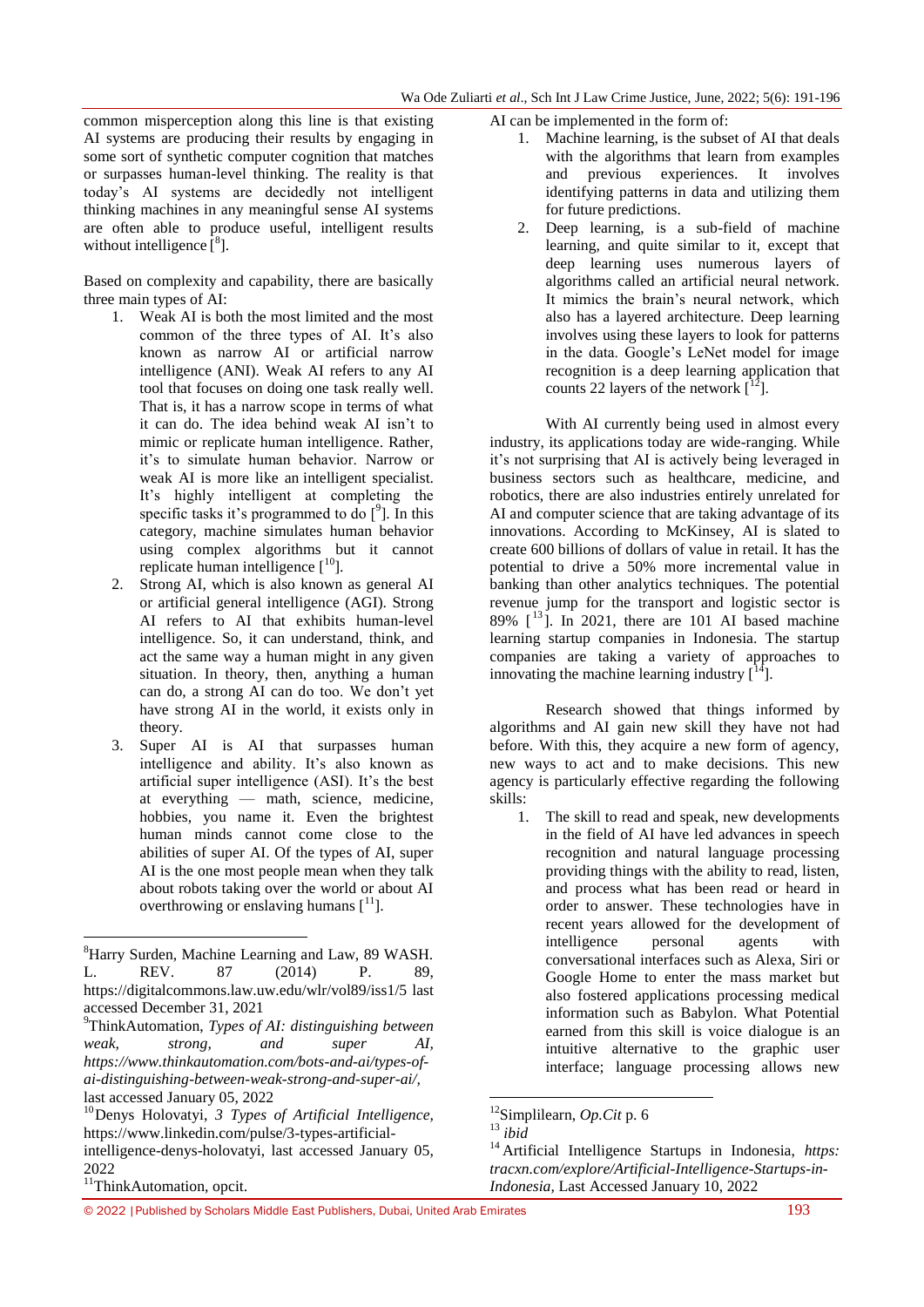common misperception along this line is that existing AI systems are producing their results by engaging in some sort of synthetic computer cognition that matches or surpasses human-level thinking. The reality is that today's AI systems are decidedly not intelligent thinking machines in any meaningful sense AI systems are often able to produce useful, intelligent results without intelligence  $\begin{bmatrix} 8 \end{bmatrix}$ .

Based on complexity and capability, there are basically three main types of AI:

- 1. Weak AI is both the most limited and the most common of the three types of AI. It's also known as narrow AI or artificial narrow intelligence (ANI). Weak AI refers to any AI tool that focuses on doing [one task really well.](https://www.thinkautomation.com/automation-advice/automation-tools-which-do-you-need/) That is, it has a narrow scope in terms of what it can do. The idea behind weak AI isn't to mimic or replicate human intelligence. Rather, it's to simulate human behavior. Narrow or weak AI is more like an [intelligent specialist.](https://www.whoson.com/chatbots-ai/the-rise-of-the-online-robo-advisor/) It's highly intelligent at completing the specific tasks it's programmed to do  $[°]$ . In this category, machine simulates human behavior using complex algorithms but it cannot replicate human intelligence  $[10]$ .
- 2. Strong AI, which is also known as general AI or artificial general intelligence (AGI). Strong AI refers to AI that exhibits human-level intelligence. So, it can understand, think, and act the same way a human might in any given situation. In theory, then, anything a human can do, a strong AI can do too. We don't yet have strong AI in the world, it exists only in theory.
- 3. Super AI is AI that surpasses human intelligence and ability. It's also known as artificial super intelligence (ASI). It's the best at everything — math, science, medicine, hobbies, you name it. Even the brightest human minds cannot come close to the abilities of super AI. Of the types of AI, super AI is the one most people mean when they talk about robots taking over the world or about AI overthrowing or enslaving humans  $[1]$ .

1

AI can be implemented in the form of:

- 1. Machine learning, is the subset of AI that deals with the algorithms that learn from examples and previous experiences. It involves identifying patterns in data and utilizing them for future predictions.
- 2. Deep learning, is a sub-field of machine learning, and quite similar to it, except that deep learning uses numerous layers of algorithms called an artificial neural network. It mimics the brain's neural network, which also has a layered architecture. Deep learning involves using these layers to look for patterns in the data. Google's LeNet model for image recognition is a deep learning application that counts 22 layers of the network  $\lceil \frac{12}{1} \rceil$ .

With AI currently being used in almost every industry, its applications today are wide-ranging. While it's not surprising that AI is actively being leveraged in business sectors such as healthcare, medicine, and robotics, there are also industries entirely unrelated for AI and computer science that are taking advantage of its innovations. According to McKinsey, AI is slated to create 600 billions of dollars of value in retail. It has the potential to drive a 50% more incremental value in banking than other analytics techniques. The potential revenue jump for the transport and logistic sector is 89%  $\lceil$ <sup>13</sup>]. In 2021, there are 101 AI based machine learning startup companies in Indonesia. The startup companies are taking a variety of approaches to innovating the machine learning industry  $\lceil \cdot^4 \rceil$ .

Research showed that things informed by algorithms and AI gain new skill they have not had before. With this, they acquire a new form of agency, new ways to act and to make decisions. This new agency is particularly effective regarding the following skills:

1. The skill to read and speak, new developments in the field of AI have led advances in speech recognition and natural language processing providing things with the ability to read, listen, and process what has been read or heard in order to answer. These technologies have in recent years allowed for the development of intelligence personal agents with conversational interfaces such as Alexa, Siri or Google Home to enter the mass market but also fostered applications processing medical information such as Babylon. What Potential earned from this skill is voice dialogue is an intuitive alternative to the graphic user interface; language processing allows new

1

<sup>&</sup>lt;sup>8</sup>Harry Surden, Machine Learning and Law, 89 WASH. L. REV. 87 (2014) P. 89, <https://digitalcommons.law.uw.edu/wlr/vol89/iss1/5> last accessed December 31, 2021

<sup>9</sup>ThinkAutomation, *Types of AI: distinguishing between weak, strong, and super AI, [https://www.thinkautomation.com/bots-and-ai/types-of](https://www.thinkautomation.com/bots-and-ai/types-of-ai-distinguishing-between-weak-strong-and-super-ai/)[ai-distinguishing-between-weak-strong-and-super-ai/,](https://www.thinkautomation.com/bots-and-ai/types-of-ai-distinguishing-between-weak-strong-and-super-ai/)*  last accessed January 05, 2022

<sup>10</sup>Denys Holovatyi, *3 Types of Artificial Intelligence,*  [https://www.linkedin.com/pulse/3-types-artificial](https://www.linkedin.com/pulse/3-types-artificial-intelligence-denys-holovatyi)[intelligence-denys-holovatyi,](https://www.linkedin.com/pulse/3-types-artificial-intelligence-denys-holovatyi) last accessed January 05, 2022

<sup>&</sup>lt;sup>11</sup>ThinkAutomation, opcit.

<sup>12</sup>Simplilearn, *Op.Cit* p. 6

<sup>13</sup> *ibid*

<sup>14</sup> Artificial Intelligence Startups in Indonesia, *https: tracxn.com/explore/Artificial-Intelligence-Startups-in-Indonesia,* Last Accessed January 10, 2022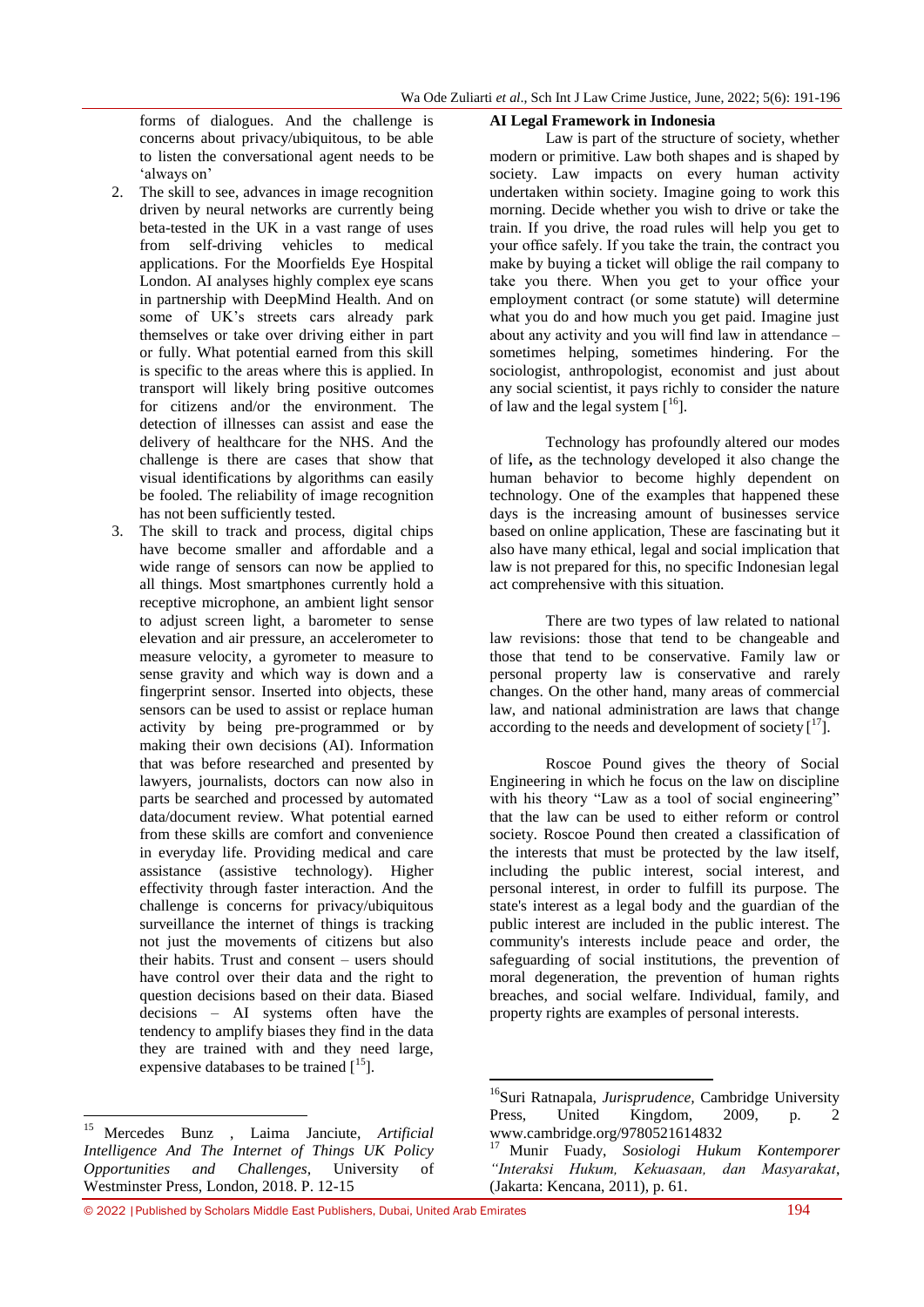forms of dialogues. And the challenge is concerns about privacy/ubiquitous, to be able to listen the conversational agent needs to be 'always on'

- 2. The skill to see, advances in image recognition driven by neural networks are currently being beta-tested in the UK in a vast range of uses from self-driving vehicles to medical applications. For the Moorfields Eye Hospital London. AI analyses highly complex eye scans in partnership with DeepMind Health. And on some of UK's streets cars already park themselves or take over driving either in part or fully. What potential earned from this skill is specific to the areas where this is applied. In transport will likely bring positive outcomes for citizens and/or the environment. The detection of illnesses can assist and ease the delivery of healthcare for the NHS. And the challenge is there are cases that show that visual identifications by algorithms can easily be fooled. The reliability of image recognition has not been sufficiently tested.
- 3. The skill to track and process, digital chips have become smaller and affordable and a wide range of sensors can now be applied to all things. Most smartphones currently hold a receptive microphone, an ambient light sensor to adjust screen light, a barometer to sense elevation and air pressure, an accelerometer to measure velocity, a gyrometer to measure to sense gravity and which way is down and a fingerprint sensor. Inserted into objects, these sensors can be used to assist or replace human activity by being pre-programmed or by making their own decisions (AI). Information that was before researched and presented by lawyers, journalists, doctors can now also in parts be searched and processed by automated data/document review. What potential earned from these skills are comfort and convenience in everyday life. Providing medical and care assistance (assistive technology). Higher effectivity through faster interaction. And the challenge is concerns for privacy/ubiquitous surveillance the internet of things is tracking not just the movements of citizens but also their habits. Trust and consent – users should have control over their data and the right to question decisions based on their data. Biased decisions – AI systems often have the tendency to amplify biases they find in the data they are trained with and they need large, expensive databases to be trained  $[15]$ .

**.** 

### **AI Legal Framework in Indonesia**

Law is part of the structure of society, whether modern or primitive. Law both shapes and is shaped by society. Law impacts on every human activity undertaken within society. Imagine going to work this morning. Decide whether you wish to drive or take the train. If you drive, the road rules will help you get to your office safely. If you take the train, the contract you make by buying a ticket will oblige the rail company to take you there. When you get to your office your employment contract (or some statute) will determine what you do and how much you get paid. Imagine just about any activity and you will find law in attendance – sometimes helping, sometimes hindering. For the sociologist, anthropologist, economist and just about any social scientist, it pays richly to consider the nature of law and the legal system  $\lceil \cdot^16 \rceil$ .

Technology has profoundly altered our modes of life**,** as the technology developed it also change the human behavior to become highly dependent on technology. One of the examples that happened these days is the increasing amount of businesses service based on online application, These are fascinating but it also have many ethical, legal and social implication that law is not prepared for this, no specific Indonesian legal act comprehensive with this situation.

There are two types of law related to national law revisions: those that tend to be changeable and those that tend to be conservative. Family law or personal property law is conservative and rarely changes. On the other hand, many areas of commercial law, and national administration are laws that change according to the needs and development of society  $\left[ \begin{smallmatrix} 17 \end{smallmatrix} \right]$ .

Roscoe Pound gives the theory of Social Engineering in which he focus on the law on discipline with his theory "Law as a tool of social engineering" that the law can be used to either reform or control society. Roscoe Pound then created a classification of the interests that must be protected by the law itself, including the public interest, social interest, and personal interest, in order to fulfill its purpose. The state's interest as a legal body and the guardian of the public interest are included in the public interest. The community's interests include peace and order, the safeguarding of social institutions, the prevention of moral degeneration, the prevention of human rights breaches, and social welfare. Individual, family, and property rights are examples of personal interests.

 $\overline{a}$ 

© 2022 |Published by Scholars Middle East Publishers, Dubai, United Arab Emirates 194

<sup>15</sup> Mercedes Bunz , Laima Janciute, *Artificial Intelligence And The Internet of Things UK Policy Opportunities and Challenges,* University of Westminster Press, London, 2018. P. 12-15

<sup>16</sup>Suri Ratnapala, *Jurisprudence,* Cambridge University Press, United Kingdom, 2009, p. 2 www.cambridge.org/9780521614832

<sup>17</sup> Munir Fuady, *Sosiologi Hukum Kontemporer "Interaksi Hukum, Kekuasaan, dan Masyarakat*, (Jakarta: Kencana, 2011), p. 61.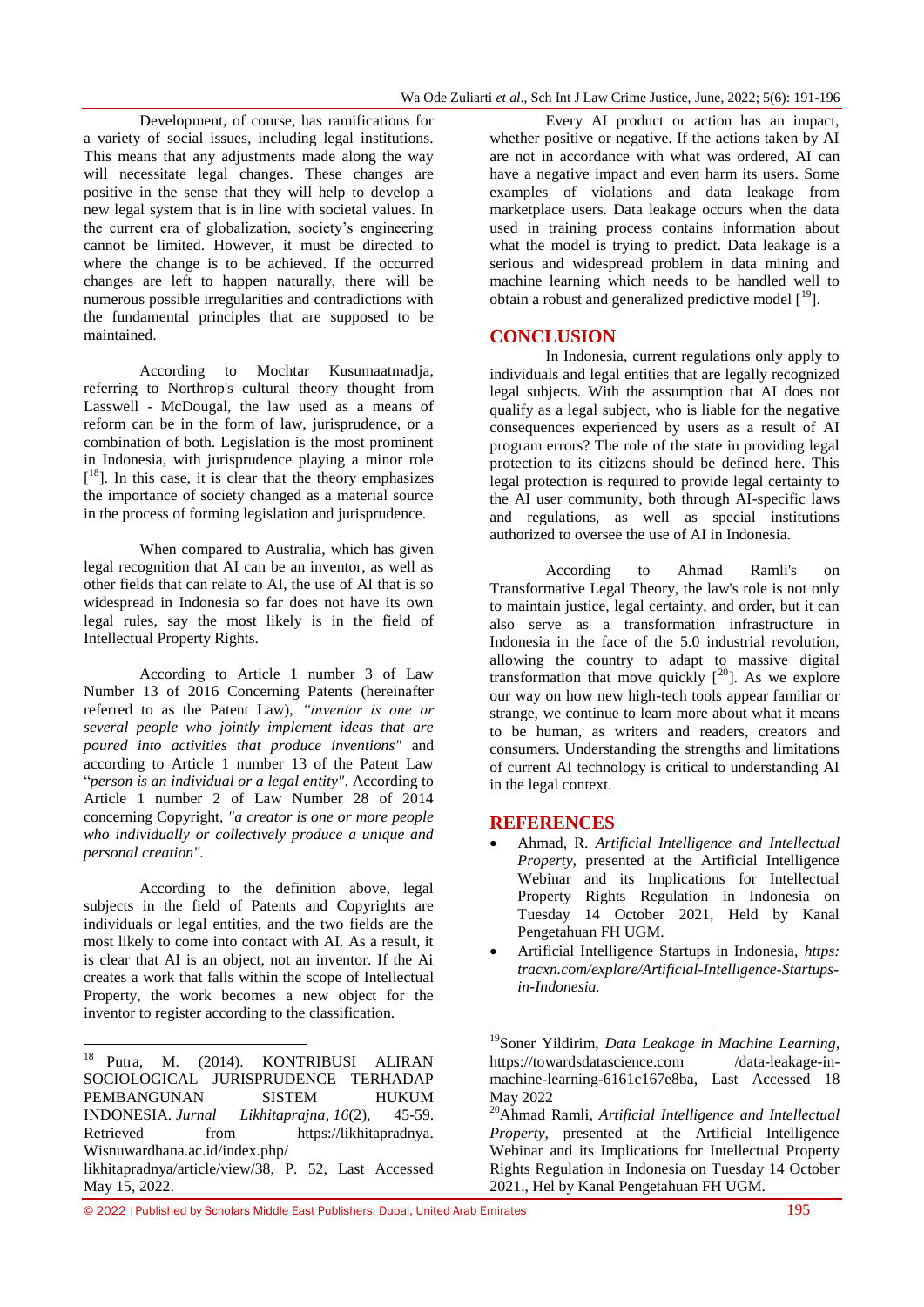Development, of course, has ramifications for a variety of social issues, including legal institutions. This means that any adjustments made along the way will necessitate legal changes. These changes are positive in the sense that they will help to develop a new legal system that is in line with societal values. In the current era of globalization, society's engineering cannot be limited. However, it must be directed to where the change is to be achieved. If the occurred changes are left to happen naturally, there will be numerous possible irregularities and contradictions with the fundamental principles that are supposed to be maintained.

According to Mochtar Kusumaatmadja, referring to Northrop's cultural theory thought from Lasswell - McDougal, the law used as a means of reform can be in the form of law, jurisprudence, or a combination of both. Legislation is the most prominent in Indonesia, with jurisprudence playing a minor role [<sup>18</sup>]. In this case, it is clear that the theory emphasizes the importance of society changed as a material source in the process of forming legislation and jurisprudence.

When compared to Australia, which has given legal recognition that AI can be an inventor, as well as other fields that can relate to AI, the use of AI that is so widespread in Indonesia so far does not have its own legal rules, say the most likely is in the field of Intellectual Property Rights.

According to Article 1 number 3 of Law Number 13 of 2016 Concerning Patents (hereinafter referred to as the Patent Law), *"inventor is one or several people who jointly implement ideas that are poured into activities that produce inventions"* and according to Article 1 number 13 of the Patent Law ―*person is an individual or a legal entity"*. According to Article 1 number 2 of Law Number 28 of 2014 concerning Copyright, *"a creator is one or more people who individually or collectively produce a unique and personal creation".*

According to the definition above, legal subjects in the field of Patents and Copyrights are individuals or legal entities, and the two fields are the most likely to come into contact with AI. As a result, it is clear that AI is an object, not an inventor. If the Ai creates a work that falls within the scope of Intellectual Property, the work becomes a new object for the inventor to register according to the classification.

Every AI product or action has an impact, whether positive or negative. If the actions taken by AI are not in accordance with what was ordered, AI can have a negative impact and even harm its users. Some examples of violations and data leakage from marketplace users. Data leakage occurs when the data used in training process contains information about what the model is trying to predict. Data leakage is a serious and widespread problem in data mining and machine learning which needs to be handled well to obtain a robust and generalized predictive model  $[19]$ .

# **CONCLUSION**

In Indonesia, current regulations only apply to individuals and legal entities that are legally recognized legal subjects. With the assumption that AI does not qualify as a legal subject, who is liable for the negative consequences experienced by users as a result of AI program errors? The role of the state in providing legal protection to its citizens should be defined here. This legal protection is required to provide legal certainty to the AI user community, both through AI-specific laws and regulations, as well as special institutions authorized to oversee the use of AI in Indonesia.

According to Ahmad Ramli's on Transformative Legal Theory, the law's role is not only to maintain justice, legal certainty, and order, but it can also serve as a transformation infrastructure in Indonesia in the face of the 5.0 industrial revolution, allowing the country to adapt to massive digital transformation that move quickly  $[20]$ . As we explore our way on how new high-tech tools appear familiar or strange, we continue to learn more about what it means to be human, as writers and readers, creators and consumers. Understanding the strengths and limitations of current AI technology is critical to understanding AI in the legal context.

# **REFERENCES**

1

- Ahmad, R. *Artificial Intelligence and Intellectual Property,* presented at the Artificial Intelligence Webinar and its Implications for Intellectual Property Rights Regulation in Indonesia on Tuesday 14 October 2021, Held by Kanal Pengetahuan FH UGM.
- Artificial Intelligence Startups in Indonesia, *https: tracxn.com/explore/Artificial-Intelligence-Startupsin-Indonesia.*

 $18\,$ Putra, M. (2014). KONTRIBUSI ALIRAN SOCIOLOGICAL JURISPRUDENCE TERHADAP PEMBANGUNAN SISTEM HUKUM INDONESIA. *Jurnal Likhitaprajna*, *16*(2), 45-59. Retrieved from https://likhitapradnya. Wisnuwardhana.ac.id/index.php/ likhitapradnya/article/view/38, P. 52, Last Accessed May 15, 2022.

<sup>19</sup>Soner Yildirim, *Data Leakage in Machine Learning,* https://towardsdatascience.com /data-leakage-inmachine-learning-6161c167e8ba, Last Accessed 18 May 2022

<sup>20</sup>Ahmad Ramli, *Artificial Intelligence and Intellectual Property*, presented at the Artificial Intelligence Webinar and its Implications for Intellectual Property Rights Regulation in Indonesia on Tuesday 14 October 2021., Hel by Kanal Pengetahuan FH UGM.